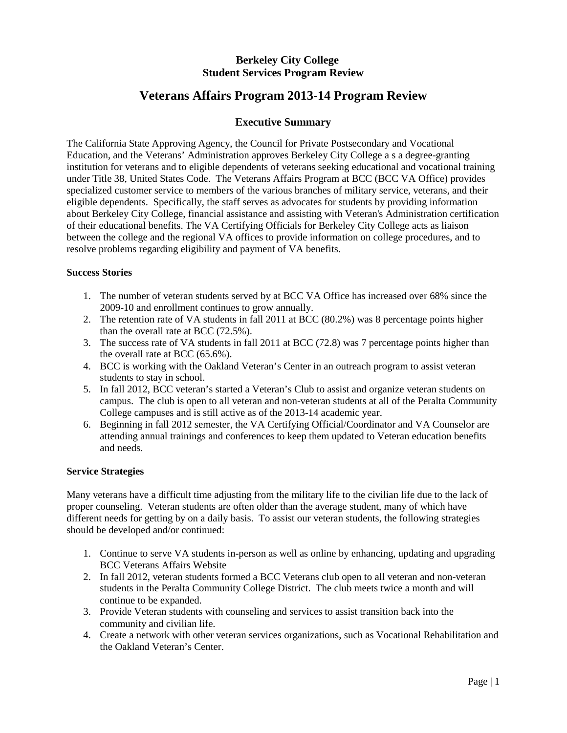# **Berkeley City College Student Services Program Review**

# **Veterans Affairs Program 2013-14 Program Review**

# **Executive Summary**

The California State Approving Agency, the Council for Private Postsecondary and Vocational Education, and the Veterans' Administration approves Berkeley City College a s a degree-granting institution for veterans and to eligible dependents of veterans seeking educational and vocational training under Title 38, United States Code. The Veterans Affairs Program at BCC (BCC VA Office) provides specialized customer service to members of the various branches of military service, veterans, and their eligible dependents. Specifically, the staff serves as advocates for students by providing information about Berkeley City College, financial assistance and assisting with Veteran's Administration certification of their educational benefits. The VA Certifying Officials for Berkeley City College acts as liaison between the college and the regional VA offices to provide information on college procedures, and to resolve problems regarding eligibility and payment of VA benefits.

# **Success Stories**

- 1. The number of veteran students served by at BCC VA Office has increased over 68% since the 2009-10 and enrollment continues to grow annually.
- 2. The retention rate of VA students in fall 2011 at BCC (80.2%) was 8 percentage points higher than the overall rate at BCC (72.5%).
- 3. The success rate of VA students in fall 2011 at BCC (72.8) was 7 percentage points higher than the overall rate at BCC (65.6%).
- 4. BCC is working with the Oakland Veteran's Center in an outreach program to assist veteran students to stay in school.
- 5. In fall 2012, BCC veteran's started a Veteran's Club to assist and organize veteran students on campus. The club is open to all veteran and non-veteran students at all of the Peralta Community College campuses and is still active as of the 2013-14 academic year.
- 6. Beginning in fall 2012 semester, the VA Certifying Official/Coordinator and VA Counselor are attending annual trainings and conferences to keep them updated to Veteran education benefits and needs.

## **Service Strategies**

Many veterans have a difficult time adjusting from the military life to the civilian life due to the lack of proper counseling. Veteran students are often older than the average student, many of which have different needs for getting by on a daily basis. To assist our veteran students, the following strategies should be developed and/or continued:

- 1. Continue to serve VA students in-person as well as online by enhancing, updating and upgrading BCC Veterans Affairs Website
- 2. In fall 2012, veteran students formed a BCC Veterans club open to all veteran and non-veteran students in the Peralta Community College District. The club meets twice a month and will continue to be expanded.
- 3. Provide Veteran students with counseling and services to assist transition back into the community and civilian life.
- 4. Create a network with other veteran services organizations, such as Vocational Rehabilitation and the Oakland Veteran's Center.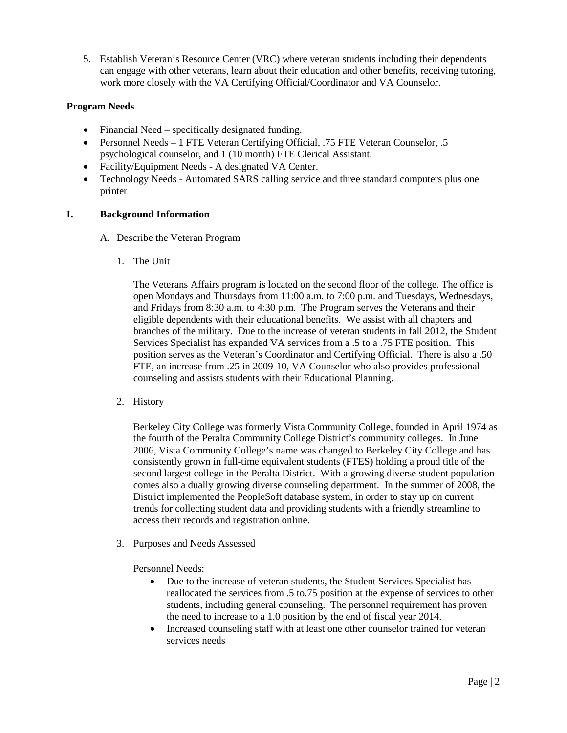5. Establish Veteran's Resource Center (VRC) where veteran students including their dependents can engage with other veterans, learn about their education and other benefits, receiving tutoring, work more closely with the VA Certifying Official/Coordinator and VA Counselor.

# **Program Needs**

- Financial Need specifically designated funding.
- Personnel Needs 1 FTE Veteran Certifying Official, .75 FTE Veteran Counselor, .5 psychological counselor, and 1 (10 month) FTE Clerical Assistant.
- Facility/Equipment Needs A designated VA Center.
- Technology Needs Automated SARS calling service and three standard computers plus one printer

## **I. Background Information**

- A. Describe the Veteran Program
	- 1. The Unit

The Veterans Affairs program is located on the second floor of the college. The office is open Mondays and Thursdays from 11:00 a.m. to 7:00 p.m. and Tuesdays, Wednesdays, and Fridays from 8:30 a.m. to 4:30 p.m. The Program serves the Veterans and their eligible dependents with their educational benefits. We assist with all chapters and branches of the military. Due to the increase of veteran students in fall 2012, the Student Services Specialist has expanded VA services from a .5 to a .75 FTE position. This position serves as the Veteran's Coordinator and Certifying Official. There is also a .50 FTE, an increase from .25 in 2009-10, VA Counselor who also provides professional counseling and assists students with their Educational Planning.

2. History

Berkeley City College was formerly Vista Community College, founded in April 1974 as the fourth of the Peralta Community College District's community colleges. In June 2006, Vista Community College's name was changed to Berkeley City College and has consistently grown in full-time equivalent students (FTES) holding a proud title of the second largest college in the Peralta District. With a growing diverse student population comes also a dually growing diverse counseling department. In the summer of 2008, the District implemented the PeopleSoft database system, in order to stay up on current trends for collecting student data and providing students with a friendly streamline to access their records and registration online.

3. Purposes and Needs Assessed

Personnel Needs:

- Due to the increase of veteran students, the Student Services Specialist has reallocated the services from .5 to.75 position at the expense of services to other students, including general counseling. The personnel requirement has proven the need to increase to a 1.0 position by the end of fiscal year 2014.
- Increased counseling staff with at least one other counselor trained for veteran services needs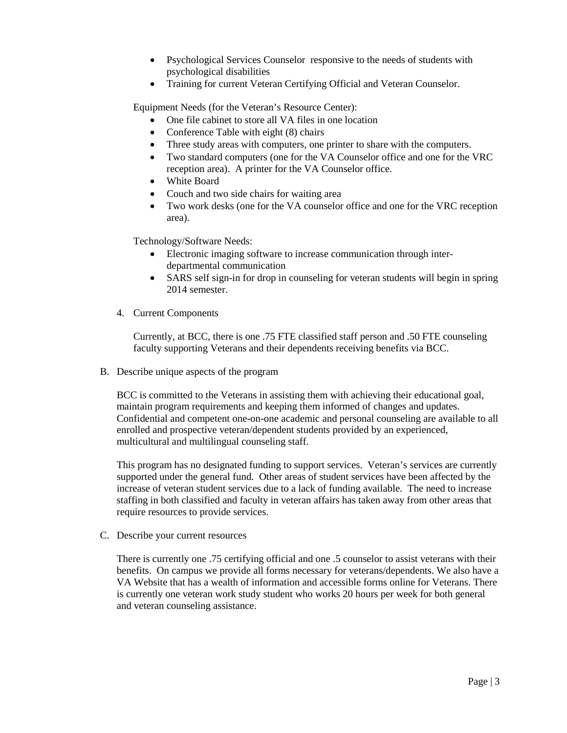- Psychological Services Counselor responsive to the needs of students with psychological disabilities
- Training for current Veteran Certifying Official and Veteran Counselor.

Equipment Needs (for the Veteran's Resource Center):

- One file cabinet to store all VA files in one location
- Conference Table with eight (8) chairs
- Three study areas with computers, one printer to share with the computers.
- Two standard computers (one for the VA Counselor office and one for the VRC reception area). A printer for the VA Counselor office.
- White Board
- Couch and two side chairs for waiting area
- Two work desks (one for the VA counselor office and one for the VRC reception area).

Technology/Software Needs:

- Electronic imaging software to increase communication through interdepartmental communication
- SARS self sign-in for drop in counseling for veteran students will begin in spring 2014 semester.
- 4. Current Components

Currently, at BCC, there is one .75 FTE classified staff person and .50 FTE counseling faculty supporting Veterans and their dependents receiving benefits via BCC.

B. Describe unique aspects of the program

BCC is committed to the Veterans in assisting them with achieving their educational goal, maintain program requirements and keeping them informed of changes and updates. Confidential and competent one-on-one academic and personal counseling are available to all enrolled and prospective veteran/dependent students provided by an experienced, multicultural and multilingual counseling staff.

This program has no designated funding to support services. Veteran's services are currently supported under the general fund. Other areas of student services have been affected by the increase of veteran student services due to a lack of funding available. The need to increase staffing in both classified and faculty in veteran affairs has taken away from other areas that require resources to provide services.

C. Describe your current resources

There is currently one .75 certifying official and one .5 counselor to assist veterans with their benefits. On campus we provide all forms necessary for veterans/dependents. We also have a VA Website that has a wealth of information and accessible forms online for Veterans. There is currently one veteran work study student who works 20 hours per week for both general and veteran counseling assistance.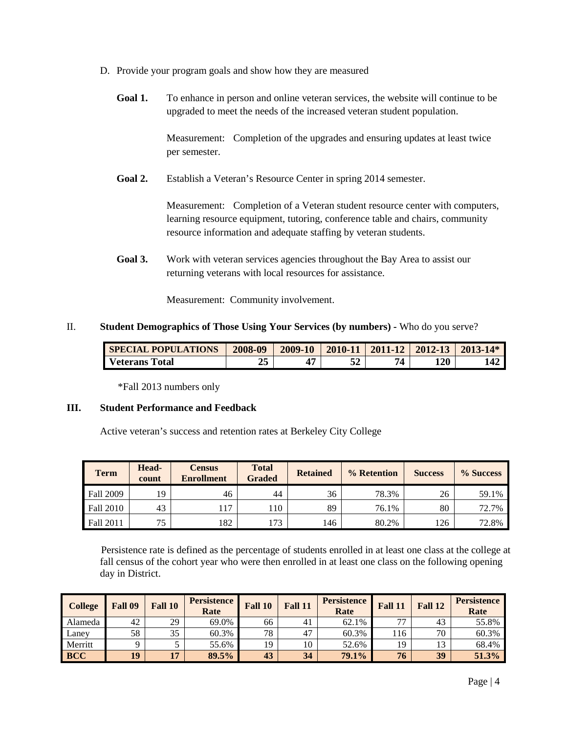- D. Provide your program goals and show how they are measured
	- **Goal 1.** To enhance in person and online veteran services, the website will continue to be upgraded to meet the needs of the increased veteran student population.

Measurement: Completion of the upgrades and ensuring updates at least twice per semester.

Goal 2. Establish a Veteran's Resource Center in spring 2014 semester.

Measurement: Completion of a Veteran student resource center with computers, learning resource equipment, tutoring, conference table and chairs, community resource information and adequate staffing by veteran students.

**Goal 3.** Work with veteran services agencies throughout the Bay Area to assist our returning veterans with local resources for assistance.

Measurement: Community involvement.

#### II. **Student Demographics of Those Using Your Services (by numbers) -** Who do you serve?

| <b>SPECIAL POPULATIONS</b> | 2008-09  | 2009-10 |     | $2010-11$   2011-12   2012-13   2013-14* |     |
|----------------------------|----------|---------|-----|------------------------------------------|-----|
| Veterans Total             | つミ<br>د، |         | 74. | 120                                      | 142 |

\*Fall 2013 numbers only

## **III. Student Performance and Feedback**

Active veteran's success and retention rates at Berkeley City College

| <b>Term</b> | Head-<br>count | <b>Census</b><br><b>Enrollment</b> | <b>Total</b><br><b>Graded</b> | <b>Retained</b> | % Retention | <b>Success</b> | % Success |
|-------------|----------------|------------------------------------|-------------------------------|-----------------|-------------|----------------|-----------|
| Fall 2009   | 19             | 46                                 | 44                            | 36              | 78.3%       | 26             | 59.1%     |
| Fall 2010   | 43             | 117                                | 110                           | 89              | 76.1%       | 80             | 72.7%     |
| Fall 2011   | 75             | 182                                | 173                           | 146             | 80.2%       | l 26           | 72.8%     |

 Persistence rate is defined as the percentage of students enrolled in at least one class at the college at fall census of the cohort year who were then enrolled in at least one class on the following opening day in District.

| <b>College</b> | Fall 09 | Fall 10 | <b>Persistence</b><br>Rate | Fall 10 | Fall 11 | <b>Persistence</b><br>Rate | Fall 11 | Fall 12 | <b>Persistence</b><br>Rate |
|----------------|---------|---------|----------------------------|---------|---------|----------------------------|---------|---------|----------------------------|
| Alameda        | 42      | 29      | 69.0%                      | 66      | 41      | 62.1%                      | רר      | 43      | 55.8%                      |
| Laney          | 58      | 35      | 60.3%                      | 78      | 47      | 60.3%                      | 116     | 70      | 60.3%                      |
| Merritt        |         |         | 55.6%                      | 19      | 10      | 52.6%                      | 19      | 13      | 68.4%                      |
| <b>BCC</b>     | 19      | 17      | 89.5%                      | 43      | 34      | 79.1%                      | 76      | 39      | 51.3%                      |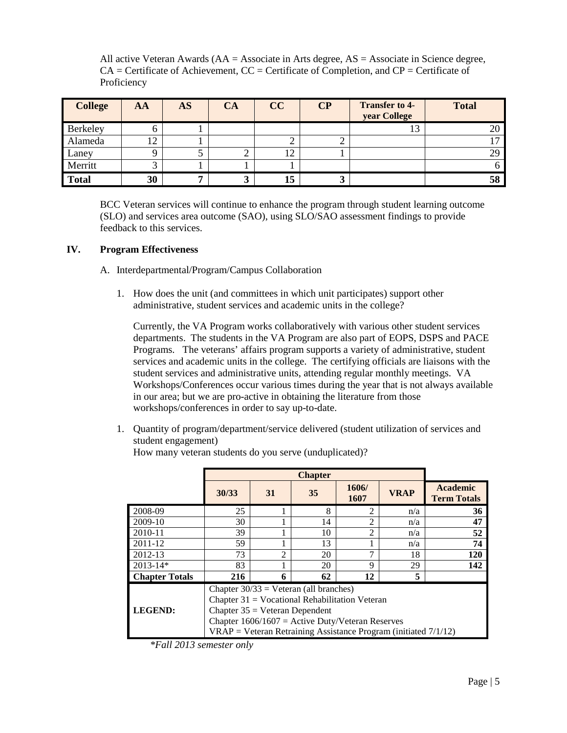All active Veteran Awards (AA = Associate in Arts degree, AS = Associate in Science degree,  $CA =$  Certificate of Achievement,  $CC =$  Certificate of Completion, and  $CP =$  Certificate of Proficiency

| <b>College</b> | AA       | <b>AS</b> | <b>CA</b> | CC | $\bf CP$ | <b>Transfer to 4-</b><br>year College | <b>Total</b> |
|----------------|----------|-----------|-----------|----|----------|---------------------------------------|--------------|
| Berkeley       | h.       |           |           |    |          | 13                                    | 20           |
| Alameda        | 12       |           |           |    |          |                                       |              |
| Laney          | $\Omega$ |           |           | 12 |          |                                       | 29           |
| Merritt        |          |           |           |    |          |                                       |              |
| <b>Total</b>   | 30       |           |           | 15 |          |                                       | 58           |

BCC Veteran services will continue to enhance the program through student learning outcome (SLO) and services area outcome (SAO), using SLO/SAO assessment findings to provide feedback to this services.

# **IV. Program Effectiveness**

## A. Interdepartmental/Program/Campus Collaboration

1. How does the unit (and committees in which unit participates) support other administrative, student services and academic units in the college?

Currently, the VA Program works collaboratively with various other student services departments. The students in the VA Program are also part of EOPS, DSPS and PACE Programs. The veterans' affairs program supports a variety of administrative, student services and academic units in the college. The certifying officials are liaisons with the student services and administrative units, attending regular monthly meetings. VA Workshops/Conferences occur various times during the year that is not always available in our area; but we are pro-active in obtaining the literature from those workshops/conferences in order to say up-to-date.

1. Quantity of program/department/service delivered (student utilization of services and student engagement)

How many veteran students do you serve (unduplicated)?

|                       | 30/33                                                                                                                                                                                                                                                       | 31             | 35 | 1606/<br>1607  | <b>VRAP</b> | <b>Academic</b><br><b>Term Totals</b> |  |  |  |
|-----------------------|-------------------------------------------------------------------------------------------------------------------------------------------------------------------------------------------------------------------------------------------------------------|----------------|----|----------------|-------------|---------------------------------------|--|--|--|
| 2008-09               | 25                                                                                                                                                                                                                                                          |                | 8  | $\overline{2}$ | n/a         | 36                                    |  |  |  |
| 2009-10               | 30                                                                                                                                                                                                                                                          |                | 14 | $\overline{2}$ | n/a         | 47                                    |  |  |  |
| 2010-11               | 39                                                                                                                                                                                                                                                          |                | 10 | $\mathfrak{D}$ | n/a         | 52                                    |  |  |  |
| 2011-12               | 59                                                                                                                                                                                                                                                          |                | 13 |                | n/a         | 74                                    |  |  |  |
| 2012-13               | 73                                                                                                                                                                                                                                                          | $\mathfrak{D}$ | 20 | ⇁              | 18          | 120                                   |  |  |  |
| $2013 - 14*$          | 83                                                                                                                                                                                                                                                          |                | 20 | 9              | 29          | 142                                   |  |  |  |
| <b>Chapter Totals</b> | 5<br>62<br>12<br>216<br>6                                                                                                                                                                                                                                   |                |    |                |             |                                       |  |  |  |
| <b>LEGEND:</b>        | Chapter $30/33$ = Veteran (all branches)<br>Chapter $31$ = Vocational Rehabilitation Veteran<br>Chapter $35 =$ Veteran Dependent<br>Chapter $1606/1607$ = Active Duty/Veteran Reserves<br>$VRAP = Veteran Retraining Assistance Program (initiated 7/1/12)$ |                |    |                |             |                                       |  |  |  |

*\*Fall 2013 semester only*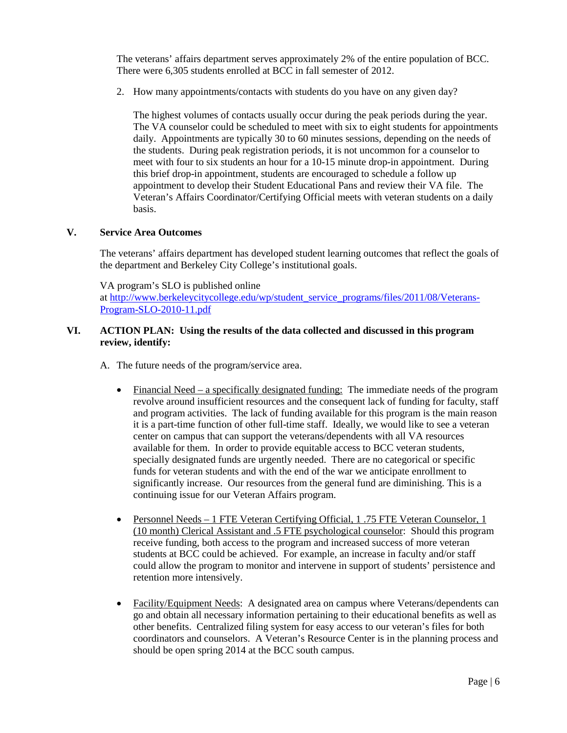The veterans' affairs department serves approximately 2% of the entire population of BCC. There were 6,305 students enrolled at BCC in fall semester of 2012.

2. How many appointments/contacts with students do you have on any given day?

The highest volumes of contacts usually occur during the peak periods during the year. The VA counselor could be scheduled to meet with six to eight students for appointments daily. Appointments are typically 30 to 60 minutes sessions, depending on the needs of the students. During peak registration periods, it is not uncommon for a counselor to meet with four to six students an hour for a 10-15 minute drop-in appointment. During this brief drop-in appointment, students are encouraged to schedule a follow up appointment to develop their Student Educational Pans and review their VA file. The Veteran's Affairs Coordinator/Certifying Official meets with veteran students on a daily basis.

## **V. Service Area Outcomes**

The veterans' affairs department has developed student learning outcomes that reflect the goals of the department and Berkeley City College's institutional goals.

VA program's SLO is published online

at [http://www.berkeleycitycollege.edu/wp/student\\_service\\_programs/files/2011/08/Veterans-](http://www.berkeleycitycollege.edu/wp/student_service_programs/files/2011/08/Veterans-Program-SLO-2010-11.pdf)[Program-SLO-2010-11.pdf](http://www.berkeleycitycollege.edu/wp/student_service_programs/files/2011/08/Veterans-Program-SLO-2010-11.pdf)

## **VI. ACTION PLAN: Using the results of the data collected and discussed in this program review, identify:**

- A. The future needs of the program/service area.
	- Financial Need a specifically designated funding: The immediate needs of the program revolve around insufficient resources and the consequent lack of funding for faculty, staff and program activities. The lack of funding available for this program is the main reason it is a part-time function of other full-time staff. Ideally, we would like to see a veteran center on campus that can support the veterans/dependents with all VA resources available for them. In order to provide equitable access to BCC veteran students, specially designated funds are urgently needed. There are no categorical or specific funds for veteran students and with the end of the war we anticipate enrollment to significantly increase. Our resources from the general fund are diminishing. This is a continuing issue for our Veteran Affairs program.
	- Personnel Needs 1 FTE Veteran Certifying Official, 1 .75 FTE Veteran Counselor, 1 (10 month) Clerical Assistant and .5 FTE psychological counselor: Should this program receive funding, both access to the program and increased success of more veteran students at BCC could be achieved. For example, an increase in faculty and/or staff could allow the program to monitor and intervene in support of students' persistence and retention more intensively.
	- Facility/Equipment Needs: A designated area on campus where Veterans/dependents can go and obtain all necessary information pertaining to their educational benefits as well as other benefits. Centralized filing system for easy access to our veteran's files for both coordinators and counselors. A Veteran's Resource Center is in the planning process and should be open spring 2014 at the BCC south campus.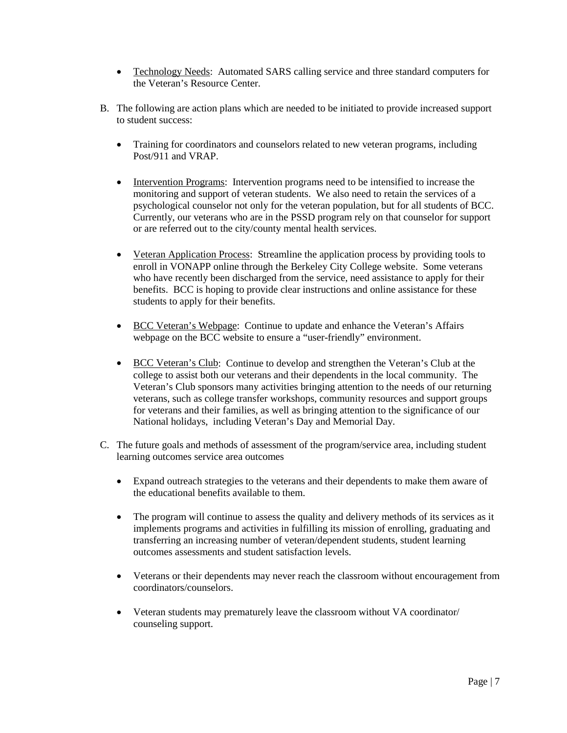- Technology Needs: Automated SARS calling service and three standard computers for the Veteran's Resource Center.
- B. The following are action plans which are needed to be initiated to provide increased support to student success:
	- Training for coordinators and counselors related to new veteran programs, including Post/911 and VRAP.
	- Intervention Programs: Intervention programs need to be intensified to increase the monitoring and support of veteran students. We also need to retain the services of a psychological counselor not only for the veteran population, but for all students of BCC. Currently, our veterans who are in the PSSD program rely on that counselor for support or are referred out to the city/county mental health services.
	- Veteran Application Process: Streamline the application process by providing tools to enroll in VONAPP online through the Berkeley City College website. Some veterans who have recently been discharged from the service, need assistance to apply for their benefits. BCC is hoping to provide clear instructions and online assistance for these students to apply for their benefits.
	- BCC Veteran's Webpage: Continue to update and enhance the Veteran's Affairs webpage on the BCC website to ensure a "user-friendly" environment.
	- BCC Veteran's Club: Continue to develop and strengthen the Veteran's Club at the college to assist both our veterans and their dependents in the local community. The Veteran's Club sponsors many activities bringing attention to the needs of our returning veterans, such as college transfer workshops, community resources and support groups for veterans and their families, as well as bringing attention to the significance of our National holidays, including Veteran's Day and Memorial Day.
- C. The future goals and methods of assessment of the program/service area, including student learning outcomes service area outcomes
	- Expand outreach strategies to the veterans and their dependents to make them aware of the educational benefits available to them.
	- The program will continue to assess the quality and delivery methods of its services as it implements programs and activities in fulfilling its mission of enrolling, graduating and transferring an increasing number of veteran/dependent students, student learning outcomes assessments and student satisfaction levels.
	- Veterans or their dependents may never reach the classroom without encouragement from coordinators/counselors.
	- Veteran students may prematurely leave the classroom without VA coordinator/ counseling support.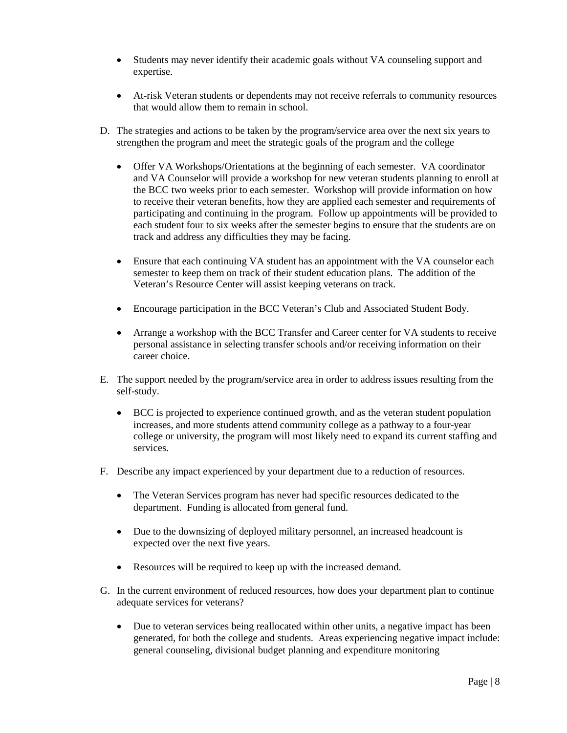- Students may never identify their academic goals without VA counseling support and expertise.
- At-risk Veteran students or dependents may not receive referrals to community resources that would allow them to remain in school.
- D. The strategies and actions to be taken by the program/service area over the next six years to strengthen the program and meet the strategic goals of the program and the college
	- Offer VA Workshops/Orientations at the beginning of each semester. VA coordinator and VA Counselor will provide a workshop for new veteran students planning to enroll at the BCC two weeks prior to each semester. Workshop will provide information on how to receive their veteran benefits, how they are applied each semester and requirements of participating and continuing in the program. Follow up appointments will be provided to each student four to six weeks after the semester begins to ensure that the students are on track and address any difficulties they may be facing.
	- Ensure that each continuing VA student has an appointment with the VA counselor each semester to keep them on track of their student education plans. The addition of the Veteran's Resource Center will assist keeping veterans on track.
	- Encourage participation in the BCC Veteran's Club and Associated Student Body.
	- Arrange a workshop with the BCC Transfer and Career center for VA students to receive personal assistance in selecting transfer schools and/or receiving information on their career choice.
- E. The support needed by the program/service area in order to address issues resulting from the self-study.
	- BCC is projected to experience continued growth, and as the veteran student population increases, and more students attend community college as a pathway to a four-year college or university, the program will most likely need to expand its current staffing and services.
- F. Describe any impact experienced by your department due to a reduction of resources.
	- The Veteran Services program has never had specific resources dedicated to the department. Funding is allocated from general fund.
	- Due to the downsizing of deployed military personnel, an increased headcount is expected over the next five years.
	- Resources will be required to keep up with the increased demand.
- G. In the current environment of reduced resources, how does your department plan to continue adequate services for veterans?
	- Due to veteran services being reallocated within other units, a negative impact has been generated, for both the college and students. Areas experiencing negative impact include: general counseling, divisional budget planning and expenditure monitoring